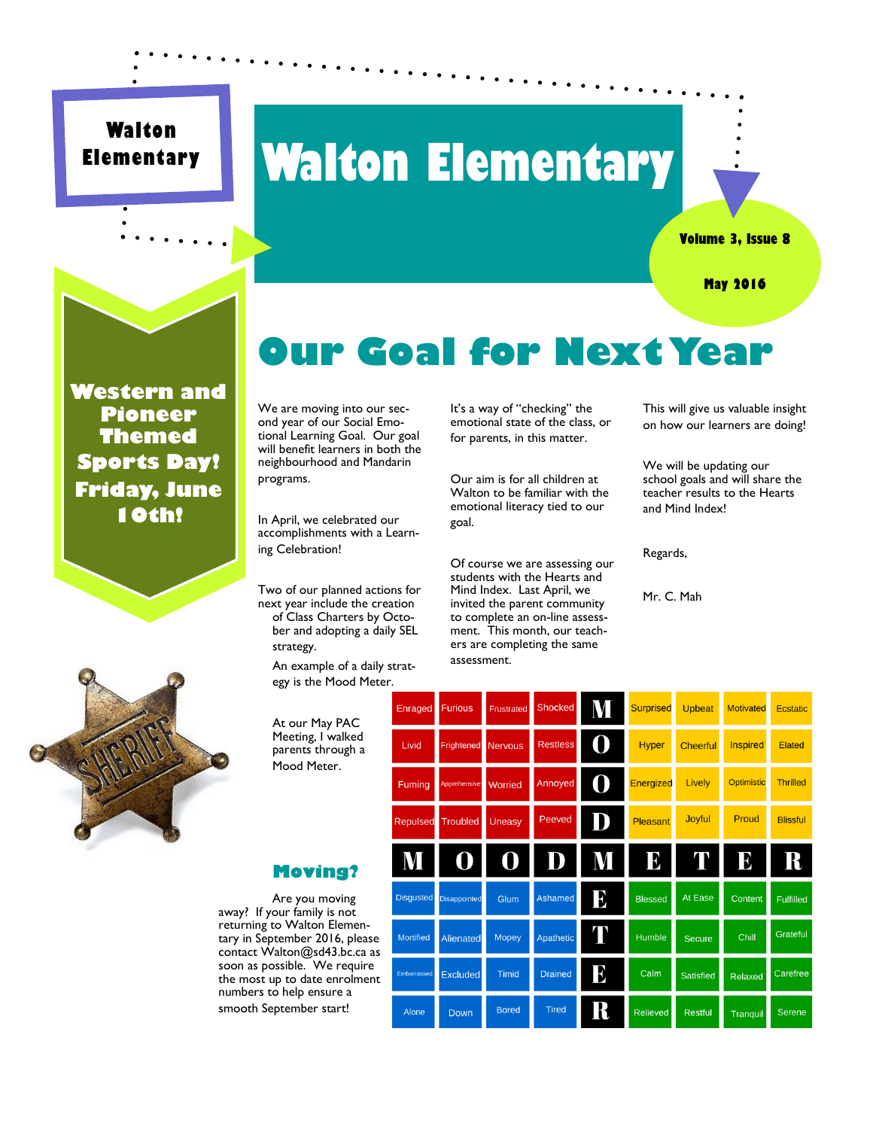**Walton Elementary**

### **Walton Elementary**

**Volume 3, Issue 8**

**May 2016**

**Western and Pioneer Themed Sports Day! Friday, June 10th!**

### **Our Goal for Next Year**

We are moving into our second year of our Social Emotional Learning Goal. Our goal will benefit learners in both the neighbourhood and Mandarin programs.

In April, we celebrated our accomplishments with a Learning Celebration!

Two of our planned actions for next year include the creation of Class Charters by October and adopting a daily SEL strategy.

An example of a daily strategy is the Mood Meter.

It's a way of "checking" the emotional state of the class, or for parents, in this matter.

Our aim is for all children at Walton to be familiar with the emotional literacy tied to our goal.

Of course we are assessing our students with the Hearts and Mind Index. Last April, we invited the parent community to complete an on-line assessment. This month, our teachers are completing the same assessment.

This will give us valuable insight on how our learners are doing!

We will be updating our school goals and will share the teacher results to the Hearts and Mind Index!

Regards,

Mr. C. Mah



| At our May PAC                                                                                                                                                                                                                                                         | Enraged          | <b>Furious</b>      | <b>Frustrated</b> | Shocked         | WІ  | <b>Surprised</b> | <b>Upbeat</b>   | <b>Motivated</b>  | Ecstatic        |
|------------------------------------------------------------------------------------------------------------------------------------------------------------------------------------------------------------------------------------------------------------------------|------------------|---------------------|-------------------|-----------------|-----|------------------|-----------------|-------------------|-----------------|
| Meeting, I walked<br>parents through a<br>Mood Meter.                                                                                                                                                                                                                  | Livid            | Frightened          | <b>Nervous</b>    | <b>Restless</b> | O   | <b>Hyper</b>     | <b>Cheerful</b> | <b>Inspired</b>   | Elated          |
|                                                                                                                                                                                                                                                                        | Fumina           | Apprehensive        | Worried           | Annoyed         | ' L | Energized        | Lively          | <b>Optimistic</b> | <b>Thrilled</b> |
|                                                                                                                                                                                                                                                                        | Repulsed         | <b>Troubled</b>     | Uneasy            | Peeved          |     | <b>Pleasant</b>  | Joyful          | Proud             | <b>Blissful</b> |
| <b>Moving?</b>                                                                                                                                                                                                                                                         | МI               |                     |                   |                 | IV. | Đ                |                 | Ð                 |                 |
| Are you moving<br>away? If your family is not<br>returning to Walton Elemen-<br>tary in September 2016, please<br>contact Walton@sd43.bc.ca as<br>soon as possible. We require<br>the most up to date enrolment<br>numbers to help ensure a<br>smooth September start! | <b>Disqusted</b> | <b>Disappointed</b> | Glum              | <b>Ashamed</b>  | B   | <b>Blessed</b>   | <b>At Ease</b>  | Content           | Fulfilled       |
|                                                                                                                                                                                                                                                                        | <b>Mortified</b> | <b>Alienated</b>    | Mopey             | Apathetic       | 11  | Humble           | <b>Secure</b>   | Chill             | Grateful        |
|                                                                                                                                                                                                                                                                        | Embarrassed      | <b>Excluded</b>     | <b>Timid</b>      | <b>Drained</b>  | Þ   | Calm             | Satisfied       | Relaxed           | Carefree        |
|                                                                                                                                                                                                                                                                        | Alone            | Down                | <b>Bored</b>      | <b>Tired</b>    | R   | Relieved         | <b>Restful</b>  | Tranquil          | Serene          |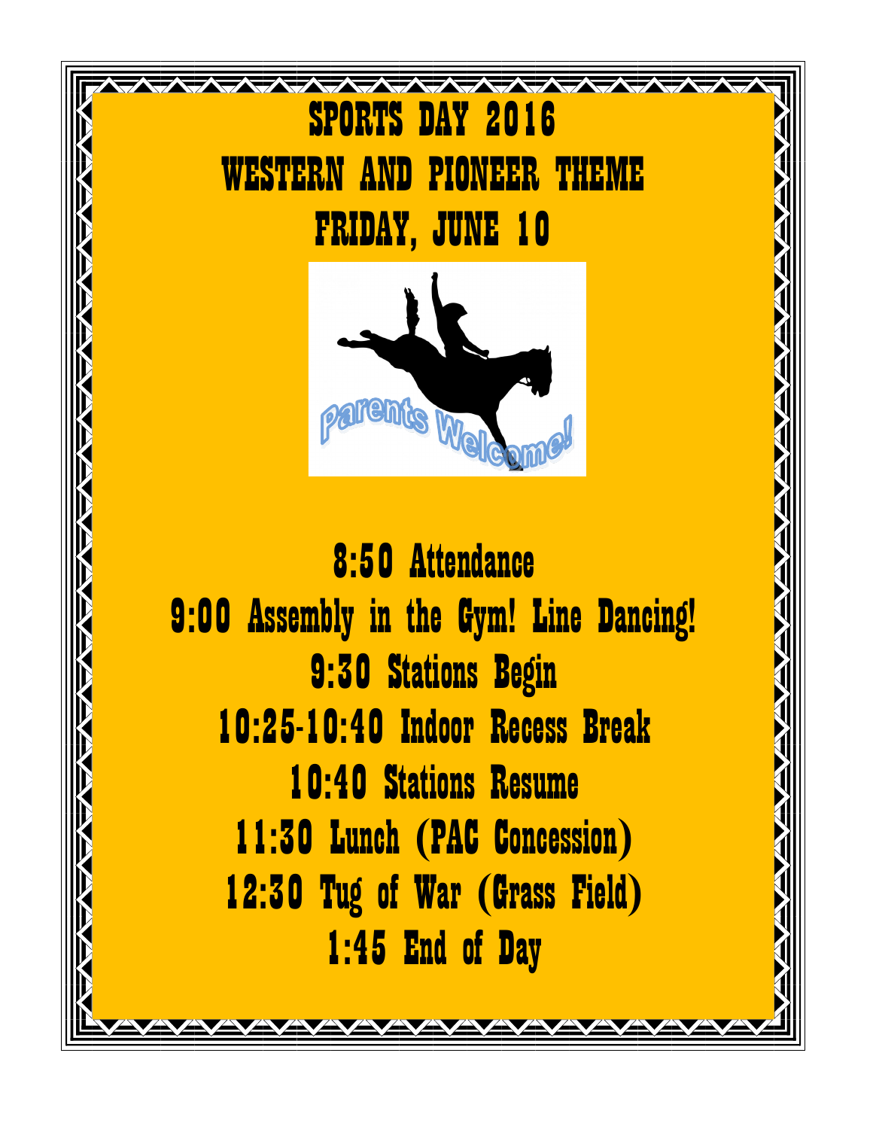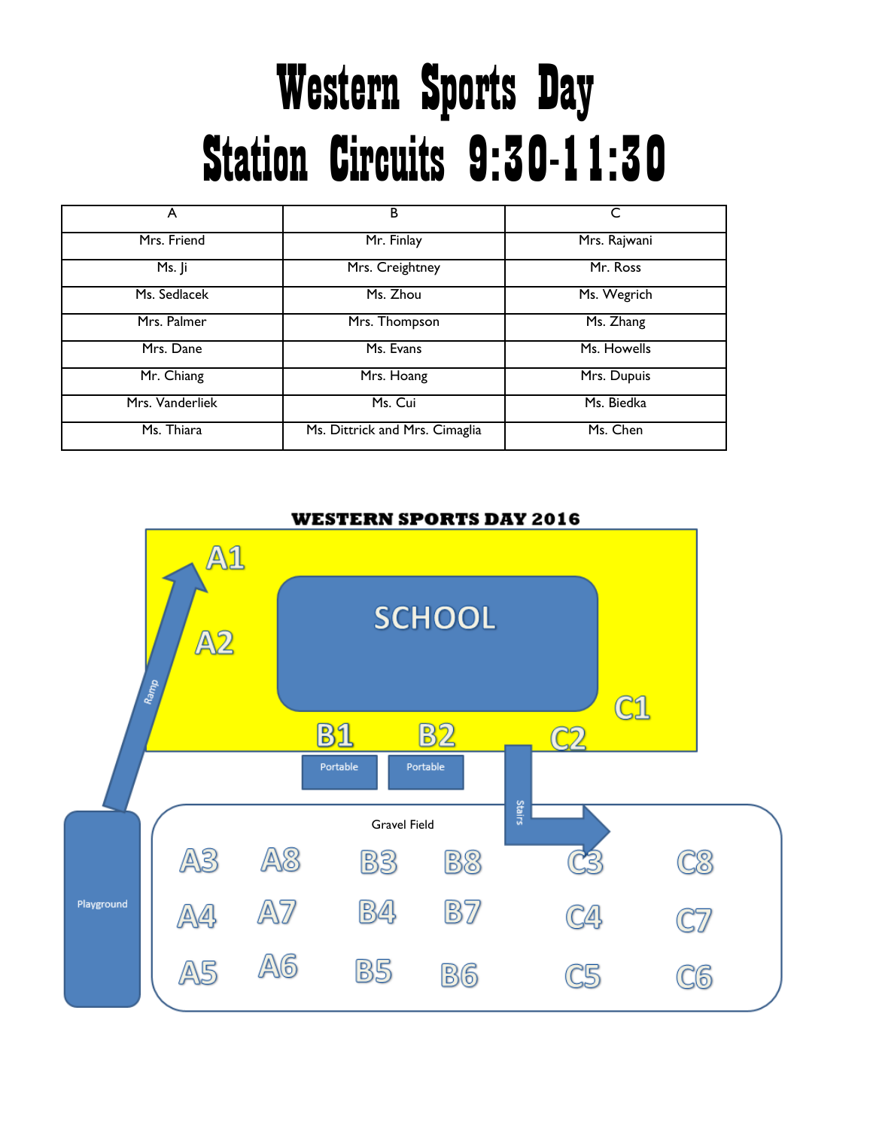## Western Sports Day Station Circuits 9:30-11:30

| A               | B                              | C            |
|-----------------|--------------------------------|--------------|
| Mrs. Friend     | Mr. Finlay                     | Mrs. Rajwani |
| Ms. Ji          | Mrs. Creightney                | Mr. Ross     |
| Ms. Sedlacek    | Ms. Zhou                       | Ms. Wegrich  |
| Mrs. Palmer     | Mrs. Thompson                  | Ms. Zhang    |
| Mrs. Dane       | Ms. Evans                      | Ms. Howells  |
| Mr. Chiang      | Mrs. Hoang                     | Mrs. Dupuis  |
| Mrs. Vanderliek | Ms. Cui                        | Ms. Biedka   |
| Ms. Thiara      | Ms. Dittrick and Mrs. Cimaglia | Ms. Chen     |

#### **WESTERN SPORTS DAY 2016**

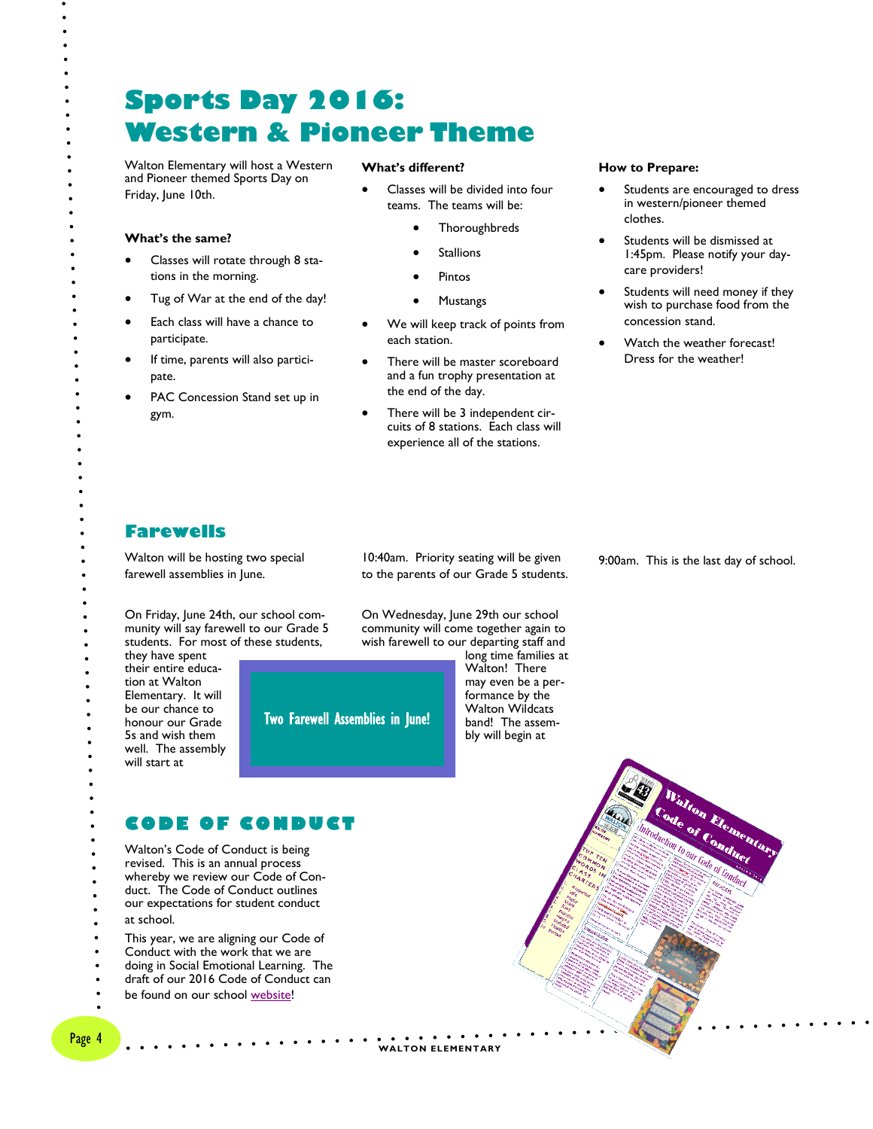#### **Sports Day 2016: Western & Pioneer Theme**

Walton Elementary will host a Western and Pioneer themed Sports Day on Friday, June 10th.

#### **What's the same?**

- Classes will rotate through 8 stations in the morning.
- Tug of War at the end of the day!
- Each class will have a chance to participate.
- If time, parents will also participate.
- PAC Concession Stand set up in gym.

#### **What's different?**

- Classes will be divided into four teams. The teams will be:
	- **Thoroughbreds**
	- **Stallions**
	- Pintos
	- Mustangs
- We will keep track of points from each station.
- There will be master scoreboard and a fun trophy presentation at the end of the day.
- There will be 3 independent circuits of 8 stations. Each class will experience all of the stations.

#### **How to Prepare:**

- Students are encouraged to dress in western/pioneer themed clothes.
- Students will be dismissed at 1:45pm. Please notify your daycare providers!
- Students will need money if they wish to purchase food from the concession stand.
- Watch the weather forecast! Dress for the weather!

#### **Farewells**

farewell assemblies in June.

On Friday, June 24th, our school community will say farewell to our Grade 5 students. For most of these students,

they have spent

- their entire education at Walton
- Elementary. It will
- be our chance to
- honour our Grade
- 5s and wish them
- well. The assembly
- will start at

Walton will be hosting two special 10:40am. Priority seating will be given 9:00am. This is the last day of school. to the parents of our Grade 5 students.

> On Wednesday, June 29th our school community will come together again to wish farewell to our departing staff and

Two Farewell Assemblies in June!

long time families at Walton! There may even be a performance by the Walton Wildcats band! The assembly will begin at

#### **CODE OF CONDUCT**

- Walton's Code of Conduct is being
- revised. This is an annual process
- whereby we review our Code of Conduct. The Code of Conduct outlines
- our expectations for student conduct
- at school.
- 
- This year, we are aligning our Code of
- Conduct with the work that we are
- doing in Social Emotional Learning. The
- draft of our 2016 Code of Conduct can
- be found on our school [website!](http://www.sd43.bc.ca/elementary/walton/About/COC/Documents/Code%20of%20Conduct%20-%20%20Walton%20Elementary%20%28Spring%202016%29.pdf)

**WALTON ELEMENTARY**



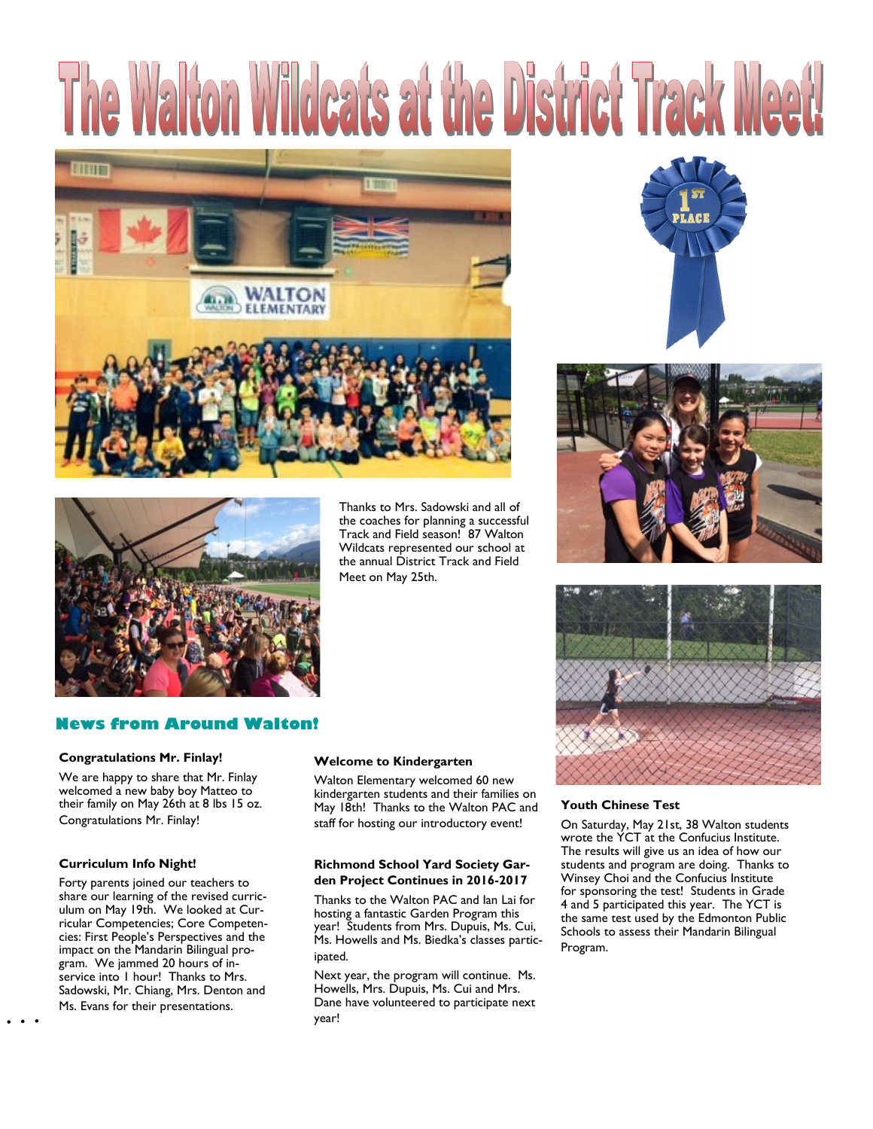## the Walton Wildcats at the District Track Weet!





Thanks to Mrs. Sadowski and all of the coaches for planning a successful Track and Field season! 87 Walton Wildcats represented our school at the annual District Track and Field Meet on May 25th.







#### **Youth Chinese Test**

On Saturday, May 21st, 38 Walton students wrote the YCT at the Confucius Institute. The results will give us an idea of how our students and program are doing. Thanks to Winsey Choi and the Confucius Institute for sponsoring the test! Students in Grade 4 and 5 participated this year. The YCT is the same test used by the Edmonton Public Schools to assess their Mandarin Bilingual Program.

#### **News from Around Walton!**

#### **Congratulations Mr. Finlay!**

We are happy to share that Mr. Finlay welcomed a new baby boy Matteo to their family on May 26th at 8 lbs 15 oz. Congratulations Mr. Finlay!

#### **Curriculum Info Night!**

Forty parents joined our teachers to share our learning of the revised curriculum on May 19th. We looked at Curricular Competencies; Core Competencies: First People's Perspectives and the impact on the Mandarin Bilingual program. We jammed 20 hours of inservice into 1 hour! Thanks to Mrs. Sadowski, Mr. Chiang, Mrs. Denton and Ms. Evans for their presentations.

#### **Welcome to Kindergarten**

Walton Elementary welcomed 60 new kindergarten students and their families on May 18th! Thanks to the Walton PAC and staff for hosting our introductory event!

#### **Richmond School Yard Society Garden Project Continues in 2016-2017**

Thanks to the Walton PAC and Ian Lai for hosting a fantastic Garden Program this year! Students from Mrs. Dupuis, Ms. Cui, Ms. Howells and Ms. Biedka's classes participated.

Next year, the program will continue. Ms. Howells, Mrs. Dupuis, Ms. Cui and Mrs. Dane have volunteered to participate next year!